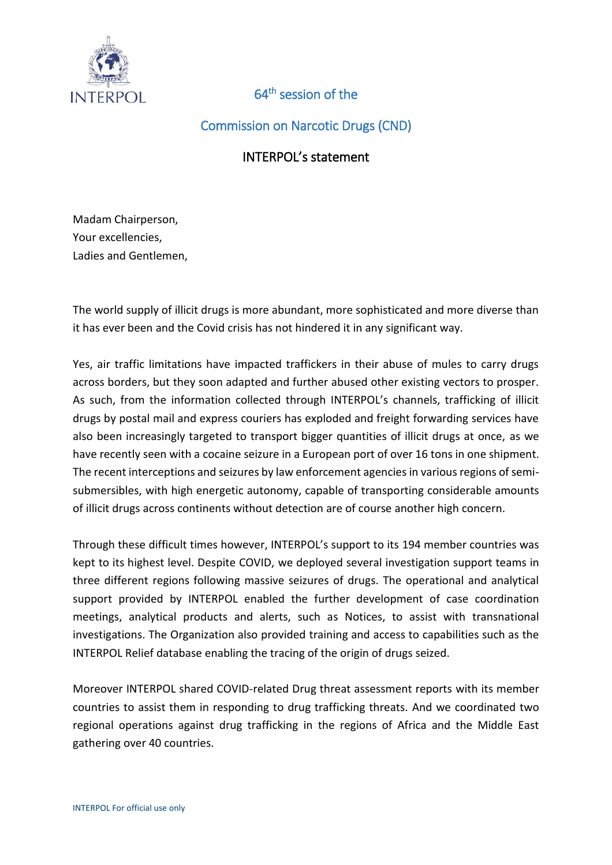

## 64<sup>th</sup> session of the

Commission on Narcotic Drugs (CND)

## INTERPOL's statement

Madam Chairperson, Your excellencies, Ladies and Gentlemen,

The world supply of illicit drugs is more abundant, more sophisticated and more diverse than it has ever been and the Covid crisis has not hindered it in any significant way.

Yes, air traffic limitations have impacted traffickers in their abuse of mules to carry drugs across borders, but they soon adapted and further abused other existing vectors to prosper. As such, from the information collected through INTERPOL's channels, trafficking of illicit drugs by postal mail and express couriers has exploded and freight forwarding services have also been increasingly targeted to transport bigger quantities of illicit drugs at once, as we have recently seen with a cocaine seizure in a European port of over 16 tons in one shipment. The recent interceptions and seizures by law enforcement agencies in various regions of semisubmersibles, with high energetic autonomy, capable of transporting considerable amounts of illicit drugs across continents without detection are of course another high concern.

Through these difficult times however, INTERPOL's support to its 194 member countries was kept to its highest level. Despite COVID, we deployed several investigation support teams in three different regions following massive seizures of drugs. The operational and analytical support provided by INTERPOL enabled the further development of case coordination meetings, analytical products and alerts, such as Notices, to assist with transnational investigations. The Organization also provided training and access to capabilities such as the INTERPOL Relief database enabling the tracing of the origin of drugs seized.

Moreover INTERPOL shared COVID-related Drug threat assessment reports with its member countries to assist them in responding to drug trafficking threats. And we coordinated two regional operations against drug trafficking in the regions of Africa and the Middle East gathering over 40 countries.